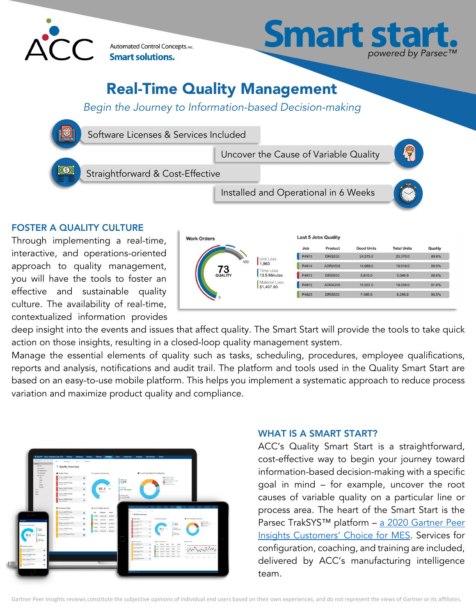

Automated Control Concepts, INC. **Smart solutions.** 



# Real-Time Quality Management

*Begin the Journey to Information-based Decision-making* 



deep insight into the events and issues that affect quality. The Smart Start will provide the tools to take quick action on those insights, resulting in a closed-loop quality management system.

Manage the essential elements of quality such as tasks, scheduling, procedures, employee qualifications, reports and analysis, notifications and audit trail. The platform and tools used in the Quality Smart Start are based on an easy-to-use mobile platform. This helps you implement a systematic approach to reduce process variation and maximize product quality and compliance.



culture. The availability of real-time, contextualized information provides

#### WHAT IS A SMART START?

ACC's Quality Smart Start is a straightforward, cost-effective way to begin your journey toward information-based decision-making with a specific goal in mind – for example, uncover the root causes of variable quality on a particular line or process area. The heart of the Smart Start is the Parsec TrakSYS™ platform - a 2020 Gartner Peer Insights Customers' Choice for MES. Services for configuration, coaching, and training are included, delivered by ACC's manufacturing intelligence team.